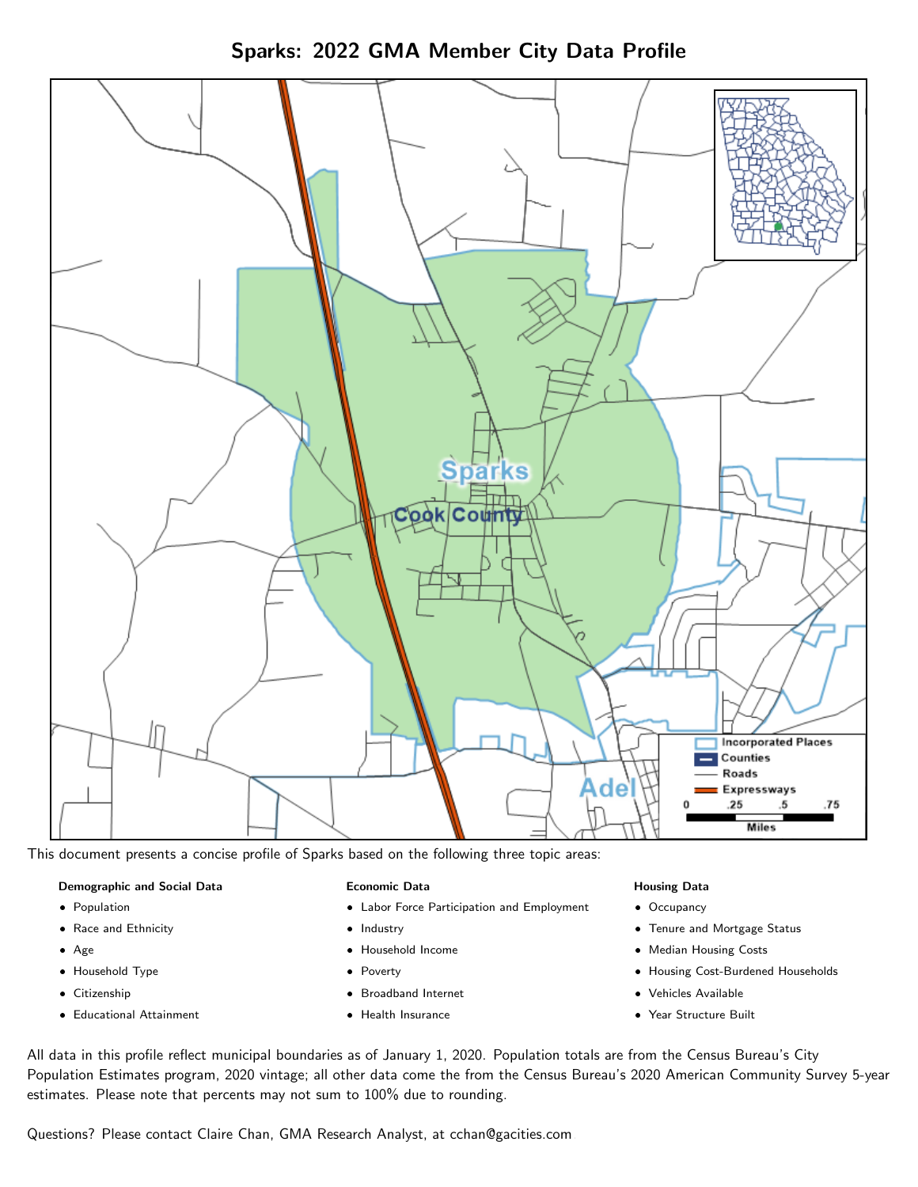



This document presents a concise profile of Sparks based on the following three topic areas:

# Demographic and Social Data

- **•** Population
- Race and Ethnicity
- Age
- Household Type
- **Citizenship**
- Educational Attainment

# Economic Data

- Labor Force Participation and Employment
- Industry
- Household Income
- Poverty
- Broadband Internet
- Health Insurance

# Housing Data

- Occupancy
- Tenure and Mortgage Status
- Median Housing Costs
- Housing Cost-Burdened Households
- Vehicles Available
- Year Structure Built

All data in this profile reflect municipal boundaries as of January 1, 2020. Population totals are from the Census Bureau's City Population Estimates program, 2020 vintage; all other data come the from the Census Bureau's 2020 American Community Survey 5-year estimates. Please note that percents may not sum to 100% due to rounding.

Questions? Please contact Claire Chan, GMA Research Analyst, at [cchan@gacities.com.](mailto:cchan@gacities.com)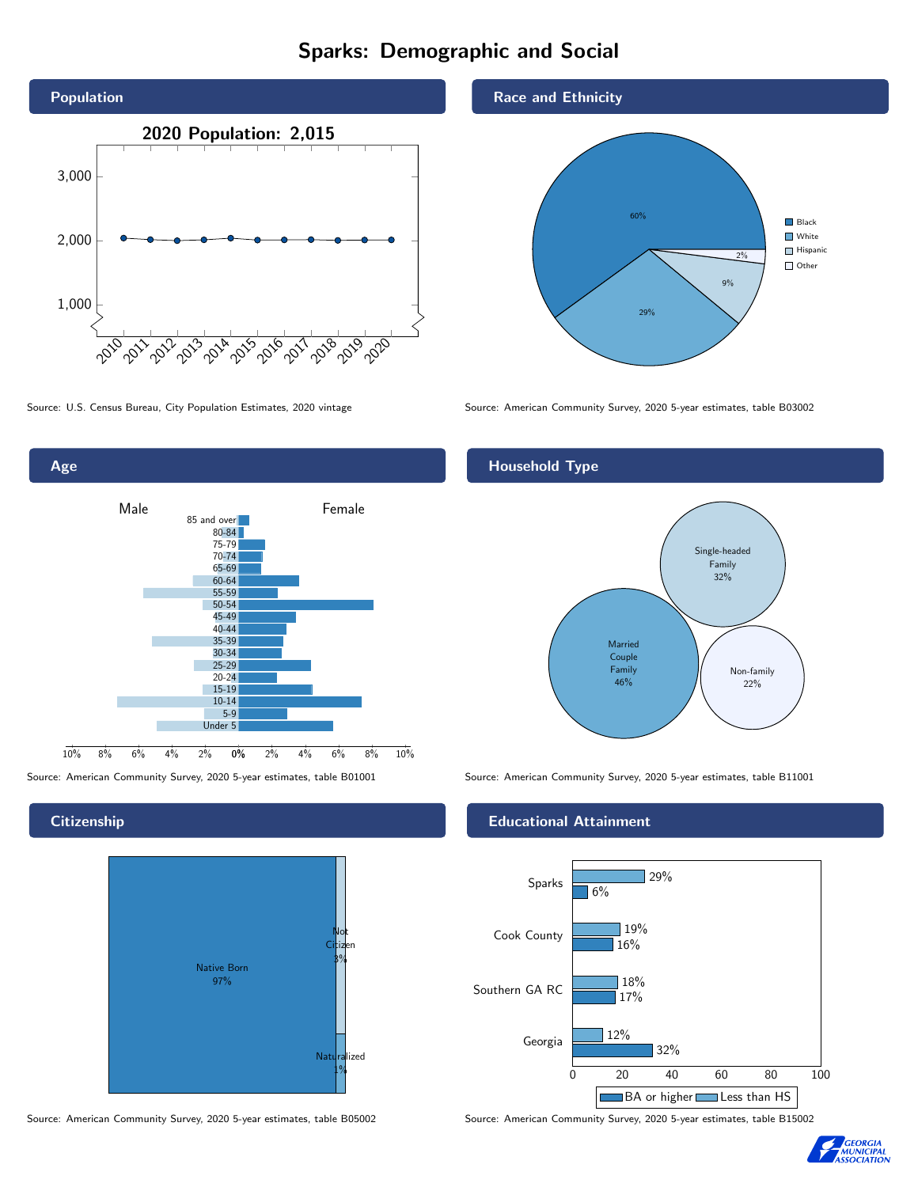# Sparks: Demographic and Social





**Citizenship** 



Source: American Community Survey, 2020 5-year estimates, table B05002 Source: American Community Survey, 2020 5-year estimates, table B15002

# Race and Ethnicity



Source: U.S. Census Bureau, City Population Estimates, 2020 vintage Source: American Community Survey, 2020 5-year estimates, table B03002

# Household Type



Source: American Community Survey, 2020 5-year estimates, table B01001 Source: American Community Survey, 2020 5-year estimates, table B11001

# Educational Attainment



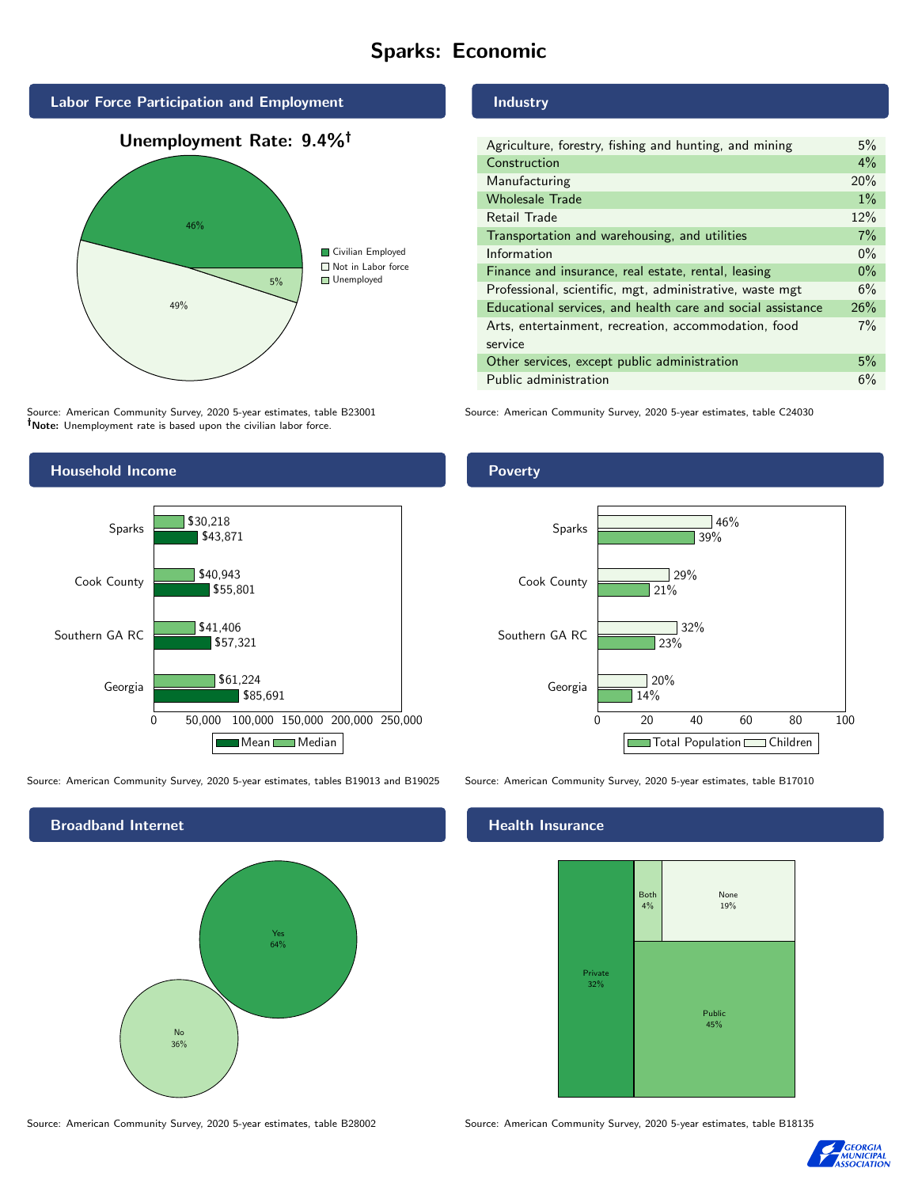# Sparks: Economic



Source: American Community Survey, 2020 5-year estimates, table B23001 Note: Unemployment rate is based upon the civilian labor force.



Source: American Community Survey, 2020 5-year estimates, tables B19013 and B19025 Source: American Community Survey, 2020 5-year estimates, table B17010



### Source: American Community Survey, 2020 5-year estimates, table B28002 Source: American Community Survey, 2020 5-year estimates, table B18135

Industry

| Agriculture, forestry, fishing and hunting, and mining      | 5%    |
|-------------------------------------------------------------|-------|
| Construction                                                | 4%    |
| Manufacturing                                               | 20%   |
| <b>Wholesale Trade</b>                                      | $1\%$ |
| Retail Trade                                                | 12%   |
| Transportation and warehousing, and utilities               | 7%    |
| Information                                                 | $0\%$ |
| Finance and insurance, real estate, rental, leasing         | $0\%$ |
| Professional, scientific, mgt, administrative, waste mgt    | 6%    |
| Educational services, and health care and social assistance | 26%   |
| Arts, entertainment, recreation, accommodation, food        | $7\%$ |
| service                                                     |       |
| Other services, except public administration                | 5%    |
| Public administration                                       | 6%    |

Source: American Community Survey, 2020 5-year estimates, table C24030

**Poverty** 



# Health Insurance